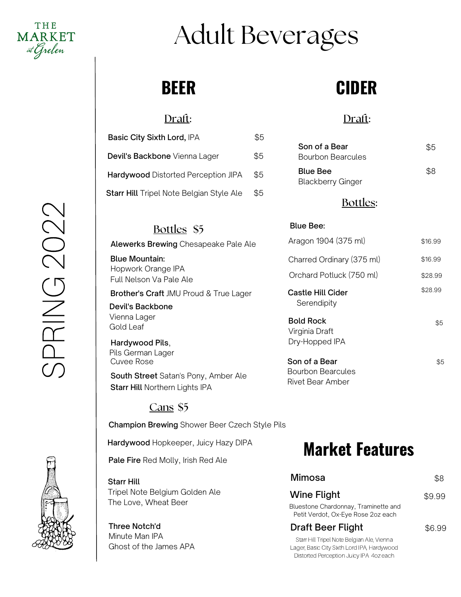

# Adult Beverages

### **BEER**

### Draft:

| <b>Basic City Sixth Lord, IPA</b>          | \$5 |
|--------------------------------------------|-----|
| Devil's Backbone Vienna Lager              | \$5 |
| <b>Hardywood Distorted Perception JIPA</b> | \$5 |
| Starr Hill Tripel Note Belgian Style Ale   | \$5 |

### Bottles \$5

Alewerks Brewing Chesapeake Pale Ale

Blue Mountain: Full Nelson Va Pale Ale Hopwork Orange IPA

Brother's Craft JMU Proud & True Lager

Devil's Backbone Vienna Lager Gold Leaf

Hardywood Pils, Pils German Lager Cuvee Rose

Starr Hill Northern Lights IPA South Street Satan's Pony, Amber Ale

#### Cans \$5

Champion Brewing Shower Beer Czech Style Pils

Hardywood Hopkeeper, Juicy Hazy DIPA

Pale Fire Red Molly, Irish Red Ale

#### Starr Hill

Tripel Note Belgium Golden Ale The Love, Wheat Beer

#### Three Notch'd Minute Man IPA Ghost of the James APA

# **CIDER**

### Draft:

| Son of a Bear<br><b>Bourbon Bearcules</b>   | \$5 |
|---------------------------------------------|-----|
| <b>Blue Bee</b><br><b>Blackberry Ginger</b> | RR. |

#### Bottles:

#### Blue Bee:

Rivet Bear Amber

| Aragon 1904 (375 ml)                                 | \$16.99 |
|------------------------------------------------------|---------|
| Charred Ordinary (375 ml)                            | \$16.99 |
| Orchard Potluck (750 ml)                             | \$28.99 |
| Castle Hill Cider<br>Serendipity                     | \$28.99 |
| <b>Bold Rock</b><br>Virginia Draft<br>Dry-Hopped IPA | \$5     |
| Son of a Bear<br><b>Bourbon Bearcules</b>            | \$5     |

### **Market Features**

| Mimosa                                                                                                                               | 88.    |
|--------------------------------------------------------------------------------------------------------------------------------------|--------|
| Wine Flight                                                                                                                          | \$9.99 |
| Bluestone Chardonnay, Traminette and<br>Petit Verdot, Ox-Eye Rose 2oz each                                                           |        |
| <b>Draft Beer Flight</b>                                                                                                             | \$6.99 |
| Starr Hill Tripel Note Belgian Ale, Vienna<br>Lager, Basic City Sixth Lord IPA, Hardywood<br>Distorted Perception Juicy IPA 4oz each |        |

## $\bigcirc$  $\Box$  $\Xi$ G $\bigcirc$  $\bigcirc$  $\bigcirc$  $\bigcirc$